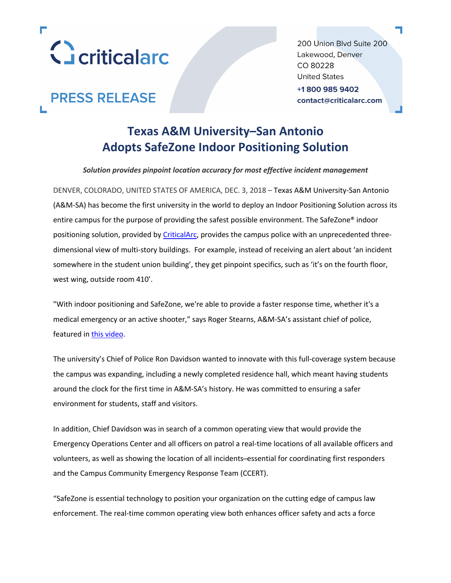

200 Union Blvd Suite 200 Lakewood, Denver CO 80228 **United States** +18009859402 contact@criticalarc.com

# **PRESS RELEASE**

## **Texas A&M University–San Antonio Adopts SafeZone Indoor Positioning Solution**

*Solution provides pinpoint location accuracy for most effective incident management*

DENVER, COLORADO, UNITED STATES OF AMERICA, DEC. 3, 2018 – Texas A&M University-San Antonio (A&M-SA) has become the first university in the world to deploy an Indoor Positioning Solution across its entire campus for the purpose of providing the safest possible environment. The SafeZone® indoor positioning solution, provided by CriticalArc, provides the campus police with an unprecedented threedimensional view of multi-story buildings. For example, instead of receiving an alert about 'an incident somewhere in the student union building', they get pinpoint specifics, such as 'it's on the fourth floor, west wing, outside room 410'.

"With indoor positioning and SafeZone, we're able to provide a faster response time, whether it's a medical emergency or an active shooter," says Roger Stearns, A&M-SA's assistant chief of police, featured in this video.

The university's Chief of Police Ron Davidson wanted to innovate with this full-coverage system because the campus was expanding, including a newly completed residence hall, which meant having students around the clock for the first time in A&M-SA's history. He was committed to ensuring a safer environment for students, staff and visitors.

In addition, Chief Davidson was in search of a common operating view that would provide the Emergency Operations Center and all officers on patrol a real-time locations of all available officers and volunteers, as well as showing the location of all incidents ̶essential for coordinating first responders and the Campus Community Emergency Response Team (CCERT).

"SafeZone is essential technology to position your organization on the cutting edge of campus law enforcement. The real-time common operating view both enhances officer safety and acts a force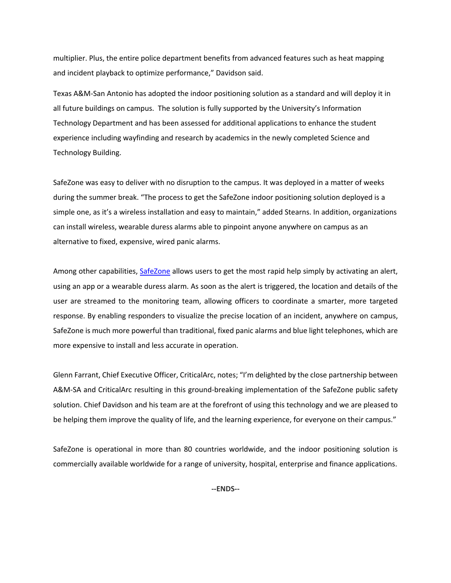multiplier. Plus, the entire police department benefits from advanced features such as heat mapping and incident playback to optimize performance," Davidson said.

Texas A&M-San Antonio has adopted the indoor positioning solution as a standard and will deploy it in all future buildings on campus. The solution is fully supported by the University's Information Technology Department and has been assessed for additional applications to enhance the student experience including wayfinding and research by academics in the newly completed Science and Technology Building.

SafeZone was easy to deliver with no disruption to the campus. It was deployed in a matter of weeks during the summer break. "The process to get the SafeZone indoor positioning solution deployed is a simple one, as it's a wireless installation and easy to maintain," added Stearns. In addition, organizations can install wireless, wearable duress alarms able to pinpoint anyone anywhere on campus as an alternative to fixed, expensive, wired panic alarms.

Among other capabilities, SafeZone allows users to get the most rapid help simply by activating an alert, using an app or a wearable duress alarm. As soon as the alert is triggered, the location and details of the user are streamed to the monitoring team, allowing officers to coordinate a smarter, more targeted response. By enabling responders to visualize the precise location of an incident, anywhere on campus, SafeZone is much more powerful than traditional, fixed panic alarms and blue light telephones, which are more expensive to install and less accurate in operation.

Glenn Farrant, Chief Executive Officer, CriticalArc, notes; "I'm delighted by the close partnership between A&M-SA and CriticalArc resulting in this ground-breaking implementation of the SafeZone public safety solution. Chief Davidson and his team are at the forefront of using this technology and we are pleased to be helping them improve the quality of life, and the learning experience, for everyone on their campus."

SafeZone is operational in more than 80 countries worldwide, and the indoor positioning solution is commercially available worldwide for a range of university, hospital, enterprise and finance applications.

**--ENDS--**